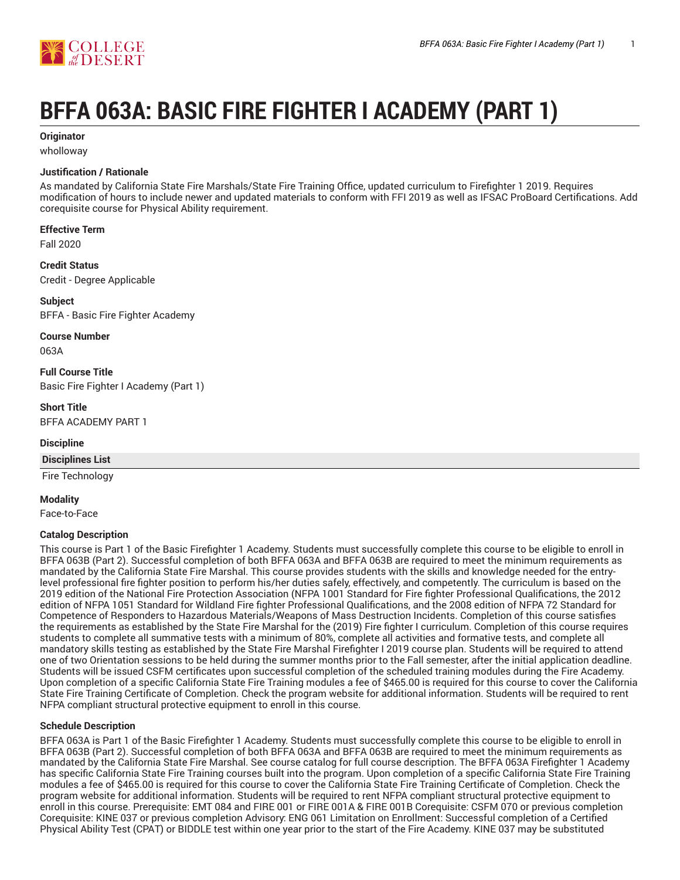

# **BFFA 063A: BASIC FIRE FIGHTER I ACADEMY (PART 1)**

#### **Originator**

wholloway

#### **Justification / Rationale**

As mandated by California State Fire Marshals/State Fire Training Office, updated curriculum to Firefighter 1 2019. Requires modification of hours to include newer and updated materials to conform with FFI 2019 as well as IFSAC ProBoard Certifications. Add corequisite course for Physical Ability requirement.

**Effective Term**

Fall 2020

**Credit Status** Credit - Degree Applicable

**Subject** BFFA - Basic Fire Fighter Academy

**Course Number**

063A

**Full Course Title** Basic Fire Fighter I Academy (Part 1)

**Short Title** BFFA ACADEMY PART 1

#### **Discipline**

#### **Disciplines List**

Fire Technology

**Modality**

Face-to-Face

#### **Catalog Description**

This course is Part 1 of the Basic Firefighter 1 Academy. Students must successfully complete this course to be eligible to enroll in BFFA 063B (Part 2). Successful completion of both BFFA 063A and BFFA 063B are required to meet the minimum requirements as mandated by the California State Fire Marshal. This course provides students with the skills and knowledge needed for the entrylevel professional fire fighter position to perform his/her duties safely, effectively, and competently. The curriculum is based on the 2019 edition of the National Fire Protection Association (NFPA 1001 Standard for Fire fighter Professional Qualifications, the 2012 edition of NFPA 1051 Standard for Wildland Fire fighter Professional Qualifications, and the 2008 edition of NFPA 72 Standard for Competence of Responders to Hazardous Materials/Weapons of Mass Destruction Incidents. Completion of this course satisfies the requirements as established by the State Fire Marshal for the (2019) Fire fighter I curriculum. Completion of this course requires students to complete all summative tests with a minimum of 80%, complete all activities and formative tests, and complete all mandatory skills testing as established by the State Fire Marshal Firefighter I 2019 course plan. Students will be required to attend one of two Orientation sessions to be held during the summer months prior to the Fall semester, after the initial application deadline. Students will be issued CSFM certificates upon successful completion of the scheduled training modules during the Fire Academy. Upon completion of a specific California State Fire Training modules a fee of \$465.00 is required for this course to cover the California State Fire Training Certificate of Completion. Check the program website for additional information. Students will be required to rent NFPA compliant structural protective equipment to enroll in this course.

#### **Schedule Description**

BFFA 063A is Part 1 of the Basic Firefighter 1 Academy. Students must successfully complete this course to be eligible to enroll in BFFA 063B (Part 2). Successful completion of both BFFA 063A and BFFA 063B are required to meet the minimum requirements as mandated by the California State Fire Marshal. See course catalog for full course description. The BFFA 063A Firefighter 1 Academy has specific California State Fire Training courses built into the program. Upon completion of a specific California State Fire Training modules a fee of \$465.00 is required for this course to cover the California State Fire Training Certificate of Completion. Check the program website for additional information. Students will be required to rent NFPA compliant structural protective equipment to enroll in this course. Prerequisite: EMT 084 and FIRE 001 or FIRE 001A & FIRE 001B Corequisite: CSFM 070 or previous completion Corequisite: KINE 037 or previous completion Advisory: ENG 061 Limitation on Enrollment: Successful completion of a Certified Physical Ability Test (CPAT) or BIDDLE test within one year prior to the start of the Fire Academy. KINE 037 may be substituted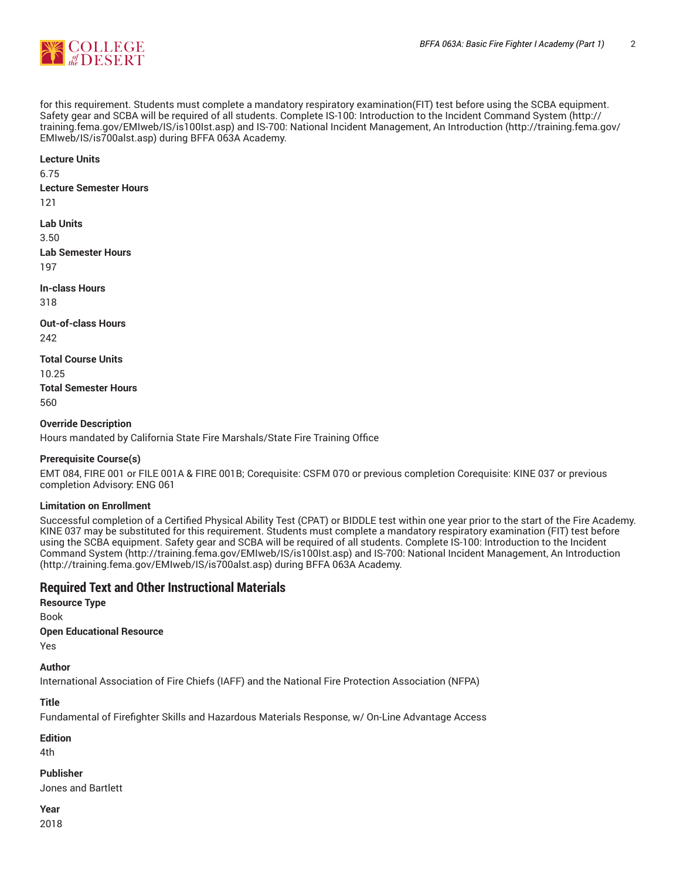

for this requirement. Students must complete a mandatory respiratory examination(FIT) test before using the SCBA equipment. Safety gear and SCBA will be required of all students. Complete IS-100: Introduction to the Incident Command System (http:// training.fema.gov/EMIweb/IS/is100Ist.asp) and IS-700: National Incident Management, An Introduction (http://training.fema.gov/ EMIweb/IS/is700alst.asp) during BFFA 063A Academy.

**Lecture Units**

6.75

**Lecture Semester Hours** 121

**Lab Units**

3.50 **Lab Semester Hours** 197

**In-class Hours** 318

**Out-of-class Hours** 242

**Total Course Units**

10.25 **Total Semester Hours** 560

**Override Description**

Hours mandated by California State Fire Marshals/State Fire Training Office

#### **Prerequisite Course(s)**

EMT 084, FIRE 001 or FILE 001A & FIRE 001B; Corequisite: CSFM 070 or previous completion Corequisite: KINE 037 or previous completion Advisory: ENG 061

#### **Limitation on Enrollment**

Successful completion of a Certified Physical Ability Test (CPAT) or BIDDLE test within one year prior to the start of the Fire Academy. KINE 037 may be substituted for this requirement. Students must complete a mandatory respiratory examination (FIT) test before using the SCBA equipment. Safety gear and SCBA will be required of all students. Complete IS-100: Introduction to the Incident Command System (http://training.fema.gov/EMIweb/IS/is100Ist.asp) and IS-700: National Incident Management, An Introduction (http://training.fema.gov/EMIweb/IS/is700alst.asp) during BFFA 063A Academy.

#### **Required Text and Other Instructional Materials**

**Resource Type** Book

**Open Educational Resource**

Yes

**Author**

International Association of Fire Chiefs (IAFF) and the National Fire Protection Association (NFPA)

#### **Title**

Fundamental of Firefighter Skills and Hazardous Materials Response, w/ On-Line Advantage Access

**Edition**

4th

**Publisher** Jones and Bartlett

#### **Year**

2018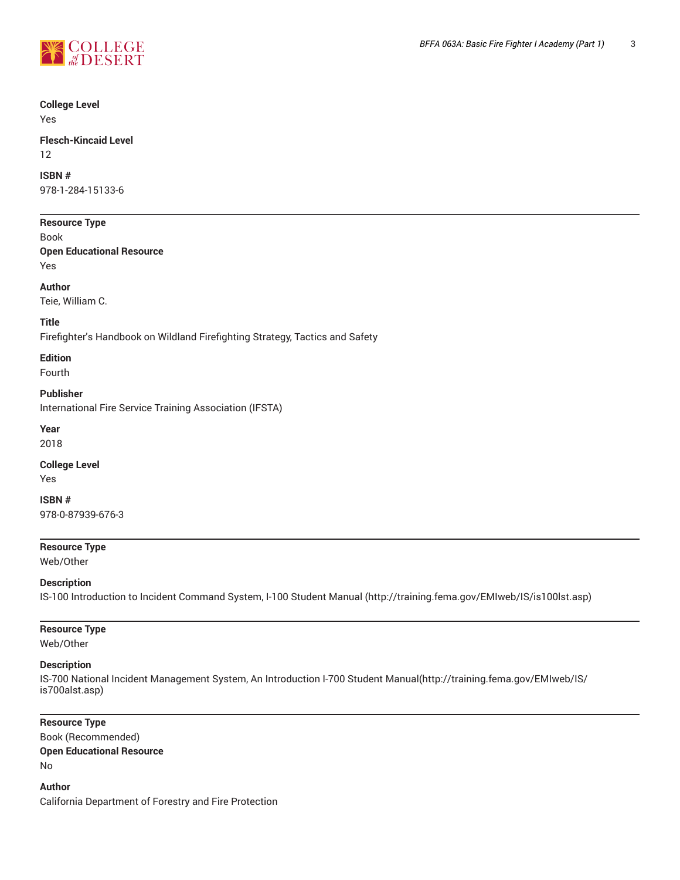

### **College Level**

Yes

#### **Flesch-Kincaid Level** 12

**ISBN #**

978-1-284-15133-6

#### **Resource Type**

Book

**Open Educational Resource** Yes

#### **Author**

Teie, William C.

#### **Title**

Firefighter's Handbook on Wildland Firefighting Strategy, Tactics and Safety

#### **Edition**

Fourth

**Publisher** International Fire Service Training Association (IFSTA)

**Year**

2018

### **College Level**

Yes

**ISBN #** 978-0-87939-676-3

#### **Resource Type**

Web/Other

#### **Description**

IS-100 Introduction to Incident Command System, I-100 Student Manual (http://training.fema.gov/EMIweb/IS/is100lst.asp)

#### **Resource Type**

Web/Other

#### **Description**

IS-700 National Incident Management System, An Introduction I-700 Student Manual(http://training.fema.gov/EMIweb/IS/ is700alst.asp)

#### **Resource Type**

Book (Recommended) **Open Educational Resource** No

**Author** California Department of Forestry and Fire Protection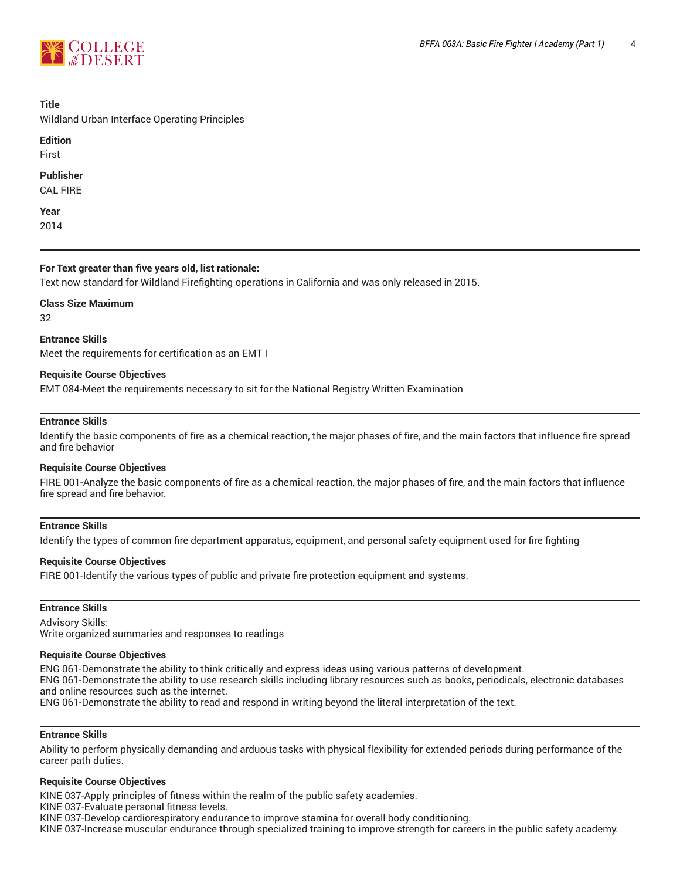

#### **Title**

Wildland Urban Interface Operating Principles

#### **Edition**

First

#### **Publisher**

CAL FIRE

**Year** 2014

#### **For Text greater than five years old, list rationale:**

Text now standard for Wildland Firefighting operations in California and was only released in 2015.

**Class Size Maximum**

32

**Entrance Skills** Meet the requirements for certification as an EMT I

#### **Requisite Course Objectives**

EMT 084-Meet the requirements necessary to sit for the National Registry Written Examination

#### **Entrance Skills**

Identify the basic components of fire as a chemical reaction, the major phases of fire, and the main factors that influence fire spread and fire behavior

#### **Requisite Course Objectives**

FIRE 001-Analyze the basic components of fire as a chemical reaction, the major phases of fire, and the main factors that influence fire spread and fire behavior.

#### **Entrance Skills**

Identify the types of common fire department apparatus, equipment, and personal safety equipment used for fire fighting

#### **Requisite Course Objectives**

FIRE 001-Identify the various types of public and private fire protection equipment and systems.

#### **Entrance Skills**

Advisory Skills: Write organized summaries and responses to readings

#### **Requisite Course Objectives**

ENG 061-Demonstrate the ability to think critically and express ideas using various patterns of development. ENG 061-Demonstrate the ability to use research skills including library resources such as books, periodicals, electronic databases and online resources such as the internet. ENG 061-Demonstrate the ability to read and respond in writing beyond the literal interpretation of the text.

#### **Entrance Skills**

Ability to perform physically demanding and arduous tasks with physical flexibility for extended periods during performance of the career path duties.

#### **Requisite Course Objectives**

KINE 037-Apply principles of fitness within the realm of the public safety academies.

KINE 037-Evaluate personal fitness levels.

KINE 037-Develop cardiorespiratory endurance to improve stamina for overall body conditioning.

KINE 037-Increase muscular endurance through specialized training to improve strength for careers in the public safety academy.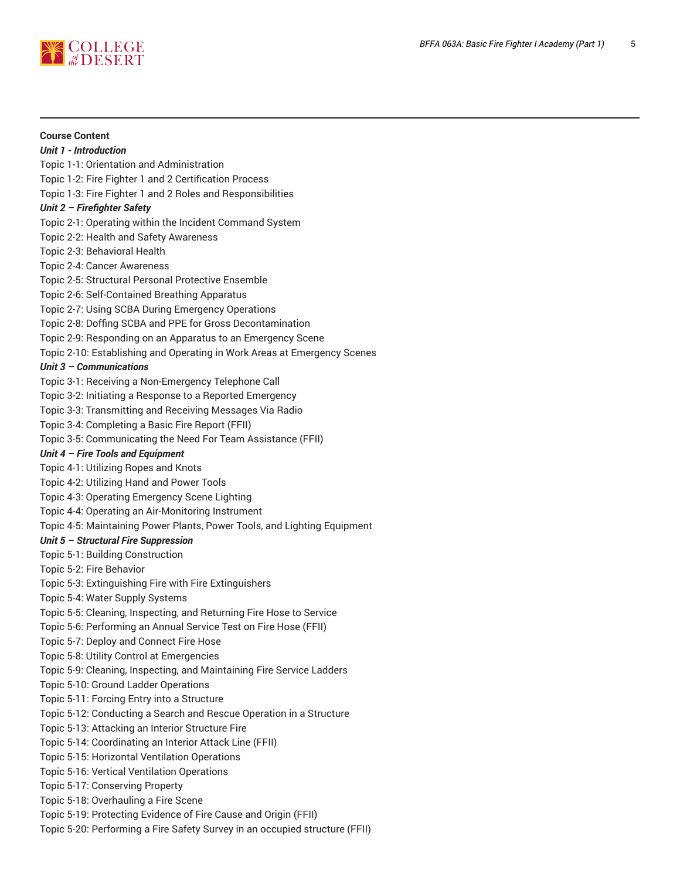

**Course Content** *Unit 1 - Introduction* Topic 1-1: Orientation and Administration Topic 1-2: Fire Fighter 1 and 2 Certification Process Topic 1-3: Fire Fighter 1 and 2 Roles and Responsibilities *Unit 2 – Firefighter Safety* Topic 2-1: Operating within the Incident Command System Topic 2-2: Health and Safety Awareness Topic 2-3: Behavioral Health Topic 2-4: Cancer Awareness Topic 2-5: Structural Personal Protective Ensemble Topic 2-6: Self-Contained Breathing Apparatus Topic 2-7: Using SCBA During Emergency Operations Topic 2-8: Doffing SCBA and PPE for Gross Decontamination Topic 2-9: Responding on an Apparatus to an Emergency Scene

Topic 2-10: Establishing and Operating in Work Areas at Emergency Scenes

#### *Unit 3 – Communications*

Topic 3-1: Receiving a Non-Emergency Telephone Call

Topic 3-2: Initiating a Response to a Reported Emergency

Topic 3-3: Transmitting and Receiving Messages Via Radio

Topic 3-4: Completing a Basic Fire Report (FFII)

Topic 3-5: Communicating the Need For Team Assistance (FFII)

#### *Unit 4 – Fire Tools and Equipment*

Topic 4-1: Utilizing Ropes and Knots

Topic 4-2: Utilizing Hand and Power Tools

Topic 4-3: Operating Emergency Scene Lighting

Topic 4-4: Operating an Air-Monitoring Instrument

Topic 4-5: Maintaining Power Plants, Power Tools, and Lighting Equipment

#### *Unit 5 – Structural Fire Suppression*

Topic 5-1: Building Construction

Topic 5-2: Fire Behavior

Topic 5-3: Extinguishing Fire with Fire Extinguishers

Topic 5-4: Water Supply Systems

Topic 5-5: Cleaning, Inspecting, and Returning Fire Hose to Service

Topic 5-6: Performing an Annual Service Test on Fire Hose (FFII)

Topic 5-7: Deploy and Connect Fire Hose

Topic 5-8: Utility Control at Emergencies

Topic 5-9: Cleaning, Inspecting, and Maintaining Fire Service Ladders

Topic 5-10: Ground Ladder Operations

Topic 5-11: Forcing Entry into a Structure

Topic 5-12: Conducting a Search and Rescue Operation in a Structure

Topic 5-13: Attacking an Interior Structure Fire

Topic 5-14: Coordinating an Interior Attack Line (FFII)

Topic 5-15: Horizontal Ventilation Operations

Topic 5-16: Vertical Ventilation Operations

Topic 5-17: Conserving Property

Topic 5-18: Overhauling a Fire Scene

Topic 5-19: Protecting Evidence of Fire Cause and Origin (FFII)

Topic 5-20: Performing a Fire Safety Survey in an occupied structure (FFII)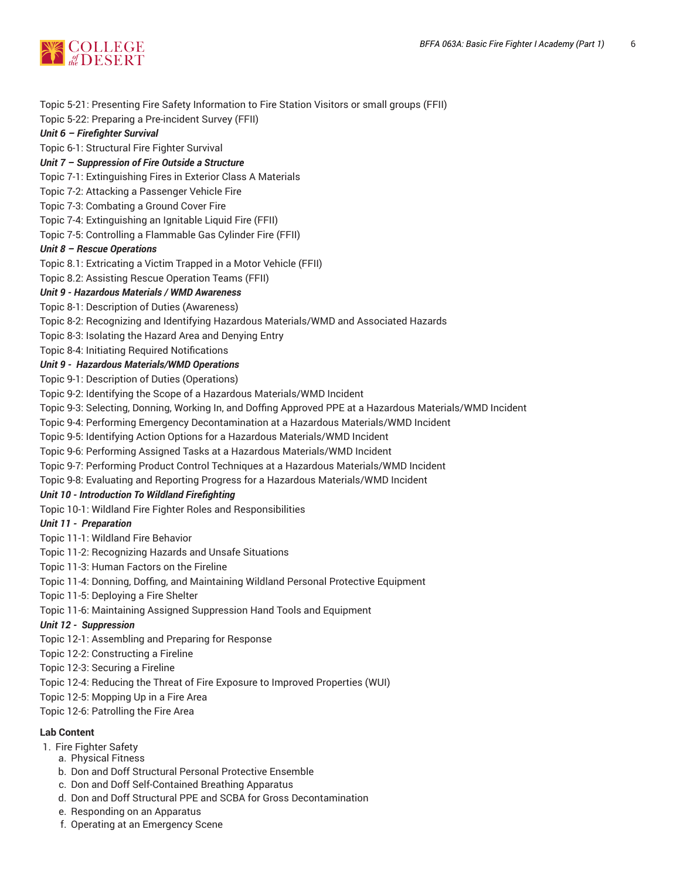

Topic 5-21: Presenting Fire Safety Information to Fire Station Visitors or small groups (FFII)

Topic 5-22: Preparing a Pre-incident Survey (FFII)

#### *Unit 6 – Firefighter Survival*

Topic 6-1: Structural Fire Fighter Survival

#### *Unit 7 – Suppression of Fire Outside a Structure*

Topic 7-1: Extinguishing Fires in Exterior Class A Materials

- Topic 7-2: Attacking a Passenger Vehicle Fire
- Topic 7-3: Combating a Ground Cover Fire
- Topic 7-4: Extinguishing an Ignitable Liquid Fire (FFII)
- Topic 7-5: Controlling a Flammable Gas Cylinder Fire (FFII)

#### *Unit 8 – Rescue Operations*

Topic 8.1: Extricating a Victim Trapped in a Motor Vehicle (FFII)

Topic 8.2: Assisting Rescue Operation Teams (FFII)

#### *Unit 9 - Hazardous Materials / WMD Awareness*

Topic 8-1: Description of Duties (Awareness)

Topic 8-2: Recognizing and Identifying Hazardous Materials/WMD and Associated Hazards

Topic 8-3: Isolating the Hazard Area and Denying Entry

Topic 8-4: Initiating Required Notifications

#### *Unit 9 - Hazardous Materials/WMD Operations*

Topic 9-1: Description of Duties (Operations)

Topic 9-2: Identifying the Scope of a Hazardous Materials/WMD Incident

Topic 9-3: Selecting, Donning, Working In, and Doffing Approved PPE at a Hazardous Materials/WMD Incident

Topic 9-4: Performing Emergency Decontamination at a Hazardous Materials/WMD Incident

Topic 9-5: Identifying Action Options for a Hazardous Materials/WMD Incident

Topic 9-6: Performing Assigned Tasks at a Hazardous Materials/WMD Incident

Topic 9-7: Performing Product Control Techniques at a Hazardous Materials/WMD Incident

Topic 9-8: Evaluating and Reporting Progress for a Hazardous Materials/WMD Incident

#### *Unit 10 - Introduction To Wildland Firefighting*

Topic 10-1: Wildland Fire Fighter Roles and Responsibilities

#### *Unit 11 - Preparation*

- Topic 11-1: Wildland Fire Behavior
- Topic 11-2: Recognizing Hazards and Unsafe Situations
- Topic 11-3: Human Factors on the Fireline
- Topic 11-4: Donning, Doffing, and Maintaining Wildland Personal Protective Equipment
- Topic 11-5: Deploying a Fire Shelter
- Topic 11-6: Maintaining Assigned Suppression Hand Tools and Equipment

#### *Unit 12 - Suppression*

- Topic 12-1: Assembling and Preparing for Response
- Topic 12-2: Constructing a Fireline
- Topic 12-3: Securing a Fireline
- Topic 12-4: Reducing the Threat of Fire Exposure to Improved Properties (WUI)
- Topic 12-5: Mopping Up in a Fire Area
- Topic 12-6: Patrolling the Fire Area

#### **Lab Content**

- 1. Fire Fighter Safety
	- a. Physical Fitness
	- b. Don and Doff Structural Personal Protective Ensemble
	- c. Don and Doff Self-Contained Breathing Apparatus
	- d. Don and Doff Structural PPE and SCBA for Gross Decontamination
	- e. Responding on an Apparatus
	- f. Operating at an Emergency Scene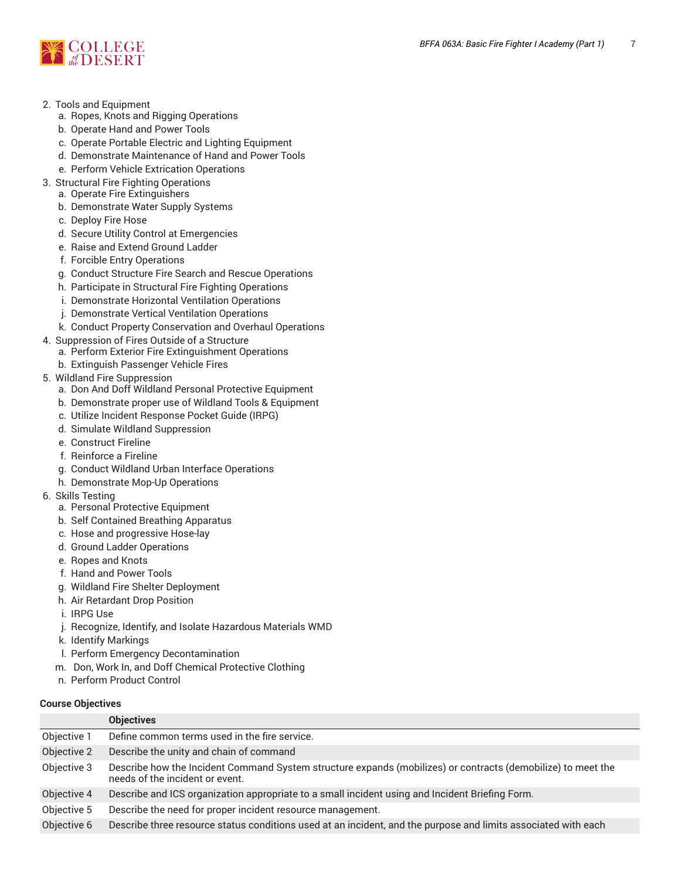

- 2. Tools and Equipment
	- a. Ropes, Knots and Rigging Operations
	- b. Operate Hand and Power Tools
	- c. Operate Portable Electric and Lighting Equipment
	- d. Demonstrate Maintenance of Hand and Power Tools
	- e. Perform Vehicle Extrication Operations
- 3. Structural Fire Fighting Operations
- a. Operate Fire Extinguishers
	- b. Demonstrate Water Supply Systems
	- c. Deploy Fire Hose
	- d. Secure Utility Control at Emergencies
	- e. Raise and Extend Ground Ladder
	- f. Forcible Entry Operations
	- g. Conduct Structure Fire Search and Rescue Operations
	- h. Participate in Structural Fire Fighting Operations
	- i. Demonstrate Horizontal Ventilation Operations
	- j. Demonstrate Vertical Ventilation Operations
	- k. Conduct Property Conservation and Overhaul Operations
- 4. Suppression of Fires Outside of a Structure
	- a. Perform Exterior Fire Extinguishment Operations
	- b. Extinguish Passenger Vehicle Fires
- 5. Wildland Fire Suppression
	- a. Don And Doff Wildland Personal Protective Equipment
	- b. Demonstrate proper use of Wildland Tools & Equipment
	- c. Utilize Incident Response Pocket Guide (IRPG)
	- d. Simulate Wildland Suppression
	- e. Construct Fireline
	- f. Reinforce a Fireline
	- g. Conduct Wildland Urban Interface Operations
	- h. Demonstrate Mop-Up Operations
- 6. Skills Testing
	- a. Personal Protective Equipment
	- b. Self Contained Breathing Apparatus
	- c. Hose and progressive Hose-lay
	- d. Ground Ladder Operations
	- e. Ropes and Knots
	- f. Hand and Power Tools
	- g. Wildland Fire Shelter Deployment
	- h. Air Retardant Drop Position
	- i. IRPG Use
	- j. Recognize, Identify, and Isolate Hazardous Materials WMD
	- k. Identify Markings
	- l. Perform Emergency Decontamination
	- m. Don, Work In, and Doff Chemical Protective Clothing
	- n. Perform Product Control

#### **Course Objectives**

| <b>Objectives</b>                                                                                                                               |
|-------------------------------------------------------------------------------------------------------------------------------------------------|
| Define common terms used in the fire service.                                                                                                   |
| Describe the unity and chain of command                                                                                                         |
| Describe how the Incident Command System structure expands (mobilizes) or contracts (demobilize) to meet the<br>needs of the incident or event. |
| Describe and ICS organization appropriate to a small incident using and Incident Briefing Form.                                                 |
| Describe the need for proper incident resource management.                                                                                      |
| Describe three resource status conditions used at an incident, and the purpose and limits associated with each                                  |
|                                                                                                                                                 |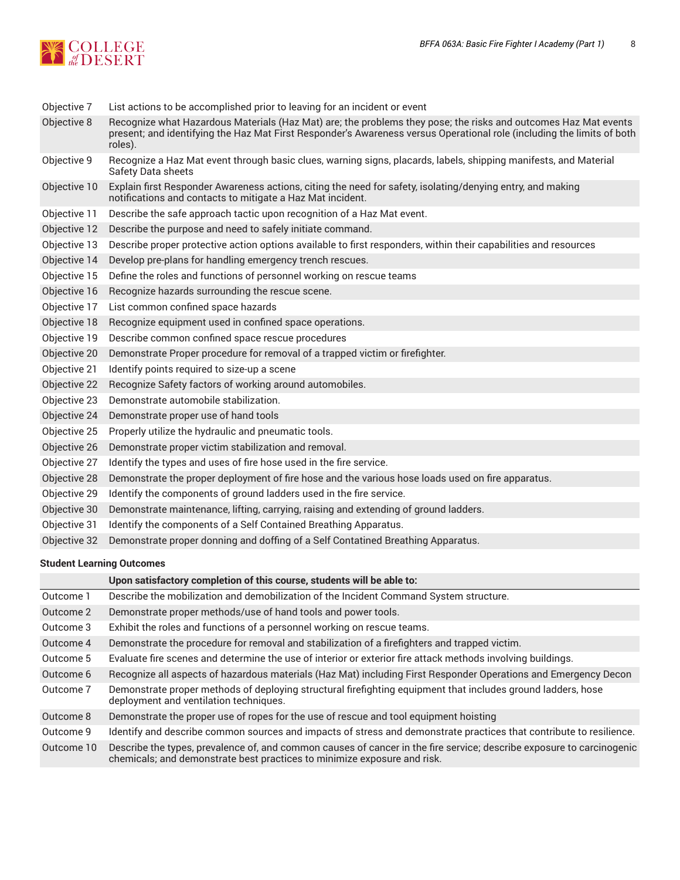

| Objective 7  | List actions to be accomplished prior to leaving for an incident or event                                                                                                                                                                            |  |  |  |
|--------------|------------------------------------------------------------------------------------------------------------------------------------------------------------------------------------------------------------------------------------------------------|--|--|--|
| Objective 8  | Recognize what Hazardous Materials (Haz Mat) are; the problems they pose; the risks and outcomes Haz Mat events<br>present; and identifying the Haz Mat First Responder's Awareness versus Operational role (including the limits of both<br>roles). |  |  |  |
| Objective 9  | Recognize a Haz Mat event through basic clues, warning signs, placards, labels, shipping manifests, and Material<br>Safety Data sheets                                                                                                               |  |  |  |
| Objective 10 | Explain first Responder Awareness actions, citing the need for safety, isolating/denying entry, and making<br>notifications and contacts to mitigate a Haz Mat incident.                                                                             |  |  |  |
| Objective 11 | Describe the safe approach tactic upon recognition of a Haz Mat event.                                                                                                                                                                               |  |  |  |
| Objective 12 | Describe the purpose and need to safely initiate command.                                                                                                                                                                                            |  |  |  |
| Objective 13 | Describe proper protective action options available to first responders, within their capabilities and resources                                                                                                                                     |  |  |  |
| Objective 14 | Develop pre-plans for handling emergency trench rescues.                                                                                                                                                                                             |  |  |  |
| Objective 15 | Define the roles and functions of personnel working on rescue teams                                                                                                                                                                                  |  |  |  |
| Objective 16 | Recognize hazards surrounding the rescue scene.                                                                                                                                                                                                      |  |  |  |
| Objective 17 | List common confined space hazards                                                                                                                                                                                                                   |  |  |  |
| Objective 18 | Recognize equipment used in confined space operations.                                                                                                                                                                                               |  |  |  |
| Objective 19 | Describe common confined space rescue procedures                                                                                                                                                                                                     |  |  |  |
| Objective 20 | Demonstrate Proper procedure for removal of a trapped victim or firefighter.                                                                                                                                                                         |  |  |  |
| Objective 21 | Identify points required to size-up a scene                                                                                                                                                                                                          |  |  |  |
| Objective 22 | Recognize Safety factors of working around automobiles.                                                                                                                                                                                              |  |  |  |
| Objective 23 | Demonstrate automobile stabilization.                                                                                                                                                                                                                |  |  |  |
| Objective 24 | Demonstrate proper use of hand tools                                                                                                                                                                                                                 |  |  |  |
| Objective 25 | Properly utilize the hydraulic and pneumatic tools.                                                                                                                                                                                                  |  |  |  |
| Objective 26 | Demonstrate proper victim stabilization and removal.                                                                                                                                                                                                 |  |  |  |
| Objective 27 | Identify the types and uses of fire hose used in the fire service.                                                                                                                                                                                   |  |  |  |
| Objective 28 | Demonstrate the proper deployment of fire hose and the various hose loads used on fire apparatus.                                                                                                                                                    |  |  |  |
| Objective 29 | Identify the components of ground ladders used in the fire service.                                                                                                                                                                                  |  |  |  |
| Objective 30 | Demonstrate maintenance, lifting, carrying, raising and extending of ground ladders.                                                                                                                                                                 |  |  |  |
| Objective 31 | Identify the components of a Self Contained Breathing Apparatus.                                                                                                                                                                                     |  |  |  |
| Objective 32 | Demonstrate proper donning and doffing of a Self Contatined Breathing Apparatus.                                                                                                                                                                     |  |  |  |
|              |                                                                                                                                                                                                                                                      |  |  |  |

#### **Student Learning Outcomes**

|            | Upon satisfactory completion of this course, students will be able to:                                                                                                                            |  |
|------------|---------------------------------------------------------------------------------------------------------------------------------------------------------------------------------------------------|--|
| Outcome 1  | Describe the mobilization and demobilization of the Incident Command System structure.                                                                                                            |  |
| Outcome 2  | Demonstrate proper methods/use of hand tools and power tools.                                                                                                                                     |  |
| Outcome 3  | Exhibit the roles and functions of a personnel working on rescue teams.                                                                                                                           |  |
| Outcome 4  | Demonstrate the procedure for removal and stabilization of a firefighters and trapped victim.                                                                                                     |  |
| Outcome 5  | Evaluate fire scenes and determine the use of interior or exterior fire attack methods involving buildings.                                                                                       |  |
| Outcome 6  | Recognize all aspects of hazardous materials (Haz Mat) including First Responder Operations and Emergency Decon                                                                                   |  |
| Outcome 7  | Demonstrate proper methods of deploying structural firefighting equipment that includes ground ladders, hose<br>deployment and ventilation techniques.                                            |  |
| Outcome 8  | Demonstrate the proper use of ropes for the use of rescue and tool equipment hoisting                                                                                                             |  |
| Outcome 9  | Identify and describe common sources and impacts of stress and demonstrate practices that contribute to resilience.                                                                               |  |
| Outcome 10 | Describe the types, prevalence of, and common causes of cancer in the fire service; describe exposure to carcinogenic<br>chemicals; and demonstrate best practices to minimize exposure and risk. |  |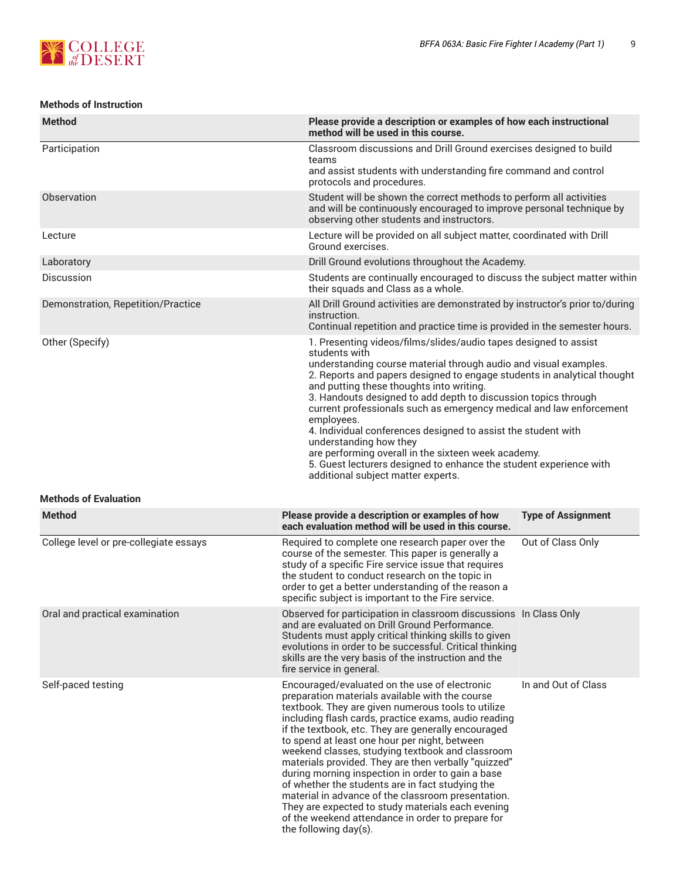

#### **Methods of Instruction**

| <b>Method</b>                          | Please provide a description or examples of how each instructional<br>method will be used in this course.                                                                                                                                                                                                                                                                                                                                                                                                                                                                                                                                                                                                                            |                           |
|----------------------------------------|--------------------------------------------------------------------------------------------------------------------------------------------------------------------------------------------------------------------------------------------------------------------------------------------------------------------------------------------------------------------------------------------------------------------------------------------------------------------------------------------------------------------------------------------------------------------------------------------------------------------------------------------------------------------------------------------------------------------------------------|---------------------------|
| Participation                          | Classroom discussions and Drill Ground exercises designed to build<br>teams<br>and assist students with understanding fire command and control<br>protocols and procedures.                                                                                                                                                                                                                                                                                                                                                                                                                                                                                                                                                          |                           |
| Observation                            | Student will be shown the correct methods to perform all activities<br>and will be continuously encouraged to improve personal technique by<br>observing other students and instructors.                                                                                                                                                                                                                                                                                                                                                                                                                                                                                                                                             |                           |
| Lecture                                | Lecture will be provided on all subject matter, coordinated with Drill<br>Ground exercises.                                                                                                                                                                                                                                                                                                                                                                                                                                                                                                                                                                                                                                          |                           |
| Laboratory                             | Drill Ground evolutions throughout the Academy.                                                                                                                                                                                                                                                                                                                                                                                                                                                                                                                                                                                                                                                                                      |                           |
| <b>Discussion</b>                      | Students are continually encouraged to discuss the subject matter within<br>their squads and Class as a whole.                                                                                                                                                                                                                                                                                                                                                                                                                                                                                                                                                                                                                       |                           |
| Demonstration, Repetition/Practice     | All Drill Ground activities are demonstrated by instructor's prior to/during<br>instruction.<br>Continual repetition and practice time is provided in the semester hours.                                                                                                                                                                                                                                                                                                                                                                                                                                                                                                                                                            |                           |
| Other (Specify)                        | 1. Presenting videos/films/slides/audio tapes designed to assist<br>students with<br>understanding course material through audio and visual examples.<br>2. Reports and papers designed to engage students in analytical thought<br>and putting these thoughts into writing.<br>3. Handouts designed to add depth to discussion topics through<br>current professionals such as emergency medical and law enforcement<br>employees.<br>4. Individual conferences designed to assist the student with<br>understanding how they<br>are performing overall in the sixteen week academy.<br>5. Guest lecturers designed to enhance the student experience with<br>additional subject matter experts.                                    |                           |
| <b>Methods of Evaluation</b>           |                                                                                                                                                                                                                                                                                                                                                                                                                                                                                                                                                                                                                                                                                                                                      |                           |
| <b>Method</b>                          | Please provide a description or examples of how<br>each evaluation method will be used in this course.                                                                                                                                                                                                                                                                                                                                                                                                                                                                                                                                                                                                                               | <b>Type of Assignment</b> |
| College level or pre-collegiate essays | Required to complete one research paper over the<br>course of the semester. This paper is generally a<br>study of a specific Fire service issue that requires<br>the student to conduct research on the topic in<br>order to get a better understanding of the reason a<br>specific subject is important to the Fire service.                                                                                                                                                                                                                                                                                                                                                                                                        | Out of Class Only         |
| Oral and practical examination         | Observed for participation in classroom discussions In Class Only<br>and are evaluated on Drill Ground Performance.<br>Students must apply critical thinking skills to given<br>evolutions in order to be successful. Critical thinking<br>skills are the very basis of the instruction and the<br>fire service in general.                                                                                                                                                                                                                                                                                                                                                                                                          |                           |
| Self-paced testing                     | Encouraged/evaluated on the use of electronic<br>preparation materials available with the course<br>textbook. They are given numerous tools to utilize<br>including flash cards, practice exams, audio reading<br>if the textbook, etc. They are generally encouraged<br>to spend at least one hour per night, between<br>weekend classes, studying textbook and classroom<br>materials provided. They are then verbally "quizzed"<br>during morning inspection in order to gain a base<br>of whether the students are in fact studying the<br>material in advance of the classroom presentation.<br>They are expected to study materials each evening<br>of the weekend attendance in order to prepare for<br>the following day(s). | In and Out of Class       |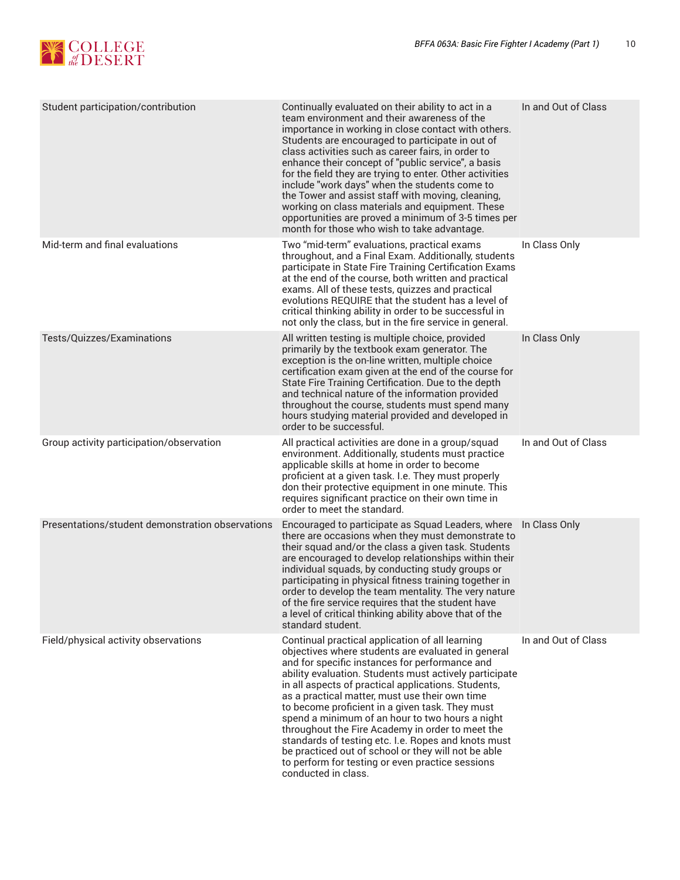

| Student participation/contribution               | Continually evaluated on their ability to act in a<br>team environment and their awareness of the<br>importance in working in close contact with others.<br>Students are encouraged to participate in out of<br>class activities such as career fairs, in order to<br>enhance their concept of "public service", a basis<br>for the field they are trying to enter. Other activities<br>include "work days" when the students come to<br>the Tower and assist staff with moving, cleaning,<br>working on class materials and equipment. These<br>opportunities are proved a minimum of 3-5 times per<br>month for those who wish to take advantage.                           | In and Out of Class |
|--------------------------------------------------|-------------------------------------------------------------------------------------------------------------------------------------------------------------------------------------------------------------------------------------------------------------------------------------------------------------------------------------------------------------------------------------------------------------------------------------------------------------------------------------------------------------------------------------------------------------------------------------------------------------------------------------------------------------------------------|---------------------|
| Mid-term and final evaluations                   | Two "mid-term" evaluations, practical exams<br>throughout, and a Final Exam. Additionally, students<br>participate in State Fire Training Certification Exams<br>at the end of the course, both written and practical<br>exams. All of these tests, quizzes and practical<br>evolutions REQUIRE that the student has a level of<br>critical thinking ability in order to be successful in<br>not only the class, but in the fire service in general.                                                                                                                                                                                                                          | In Class Only       |
| Tests/Quizzes/Examinations                       | All written testing is multiple choice, provided<br>primarily by the textbook exam generator. The<br>exception is the on-line written, multiple choice<br>certification exam given at the end of the course for<br>State Fire Training Certification. Due to the depth<br>and technical nature of the information provided<br>throughout the course, students must spend many<br>hours studying material provided and developed in<br>order to be successful.                                                                                                                                                                                                                 | In Class Only       |
| Group activity participation/observation         | All practical activities are done in a group/squad<br>environment. Additionally, students must practice<br>applicable skills at home in order to become<br>proficient at a given task. I.e. They must properly<br>don their protective equipment in one minute. This<br>requires significant practice on their own time in<br>order to meet the standard.                                                                                                                                                                                                                                                                                                                     | In and Out of Class |
| Presentations/student demonstration observations | Encouraged to participate as Squad Leaders, where<br>there are occasions when they must demonstrate to<br>their squad and/or the class a given task. Students<br>are encouraged to develop relationships within their<br>individual squads, by conducting study groups or<br>participating in physical fitness training together in<br>order to develop the team mentality. The very nature<br>of the fire service requires that the student have<br>a level of critical thinking ability above that of the<br>standard student.                                                                                                                                              | In Class Only       |
| Field/physical activity observations             | Continual practical application of all learning<br>objectives where students are evaluated in general<br>and for specific instances for performance and<br>ability evaluation. Students must actively participate<br>in all aspects of practical applications. Students,<br>as a practical matter, must use their own time<br>to become proficient in a given task. They must<br>spend a minimum of an hour to two hours a night<br>throughout the Fire Academy in order to meet the<br>standards of testing etc. I.e. Ropes and knots must<br>be practiced out of school or they will not be able<br>to perform for testing or even practice sessions<br>conducted in class. | In and Out of Class |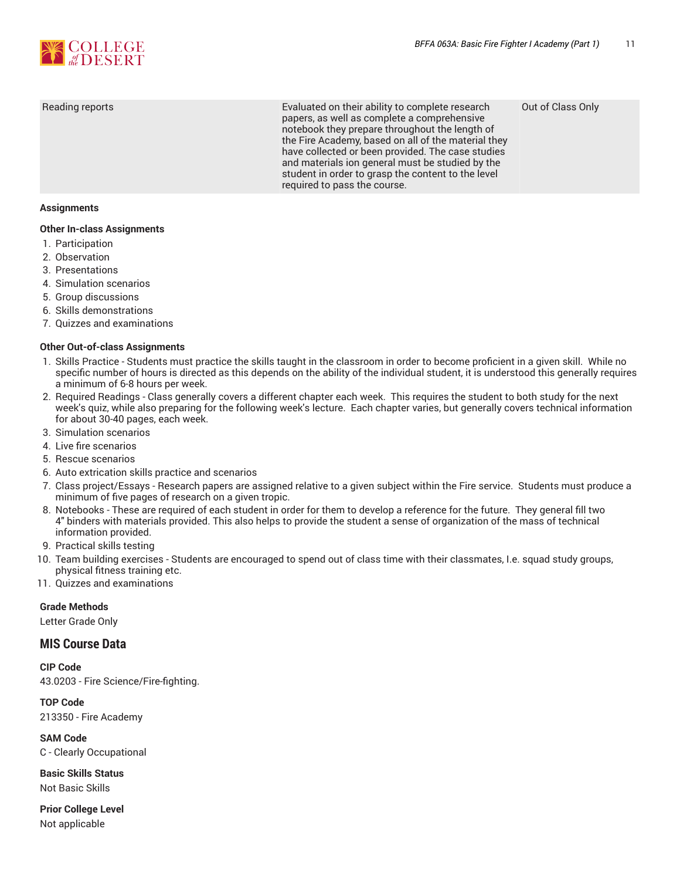

Reading reports Evaluated on their ability to complete research papers, as well as complete a comprehensive notebook they prepare throughout the length of the Fire Academy, based on all of the material they have collected or been provided. The case studies and materials ion general must be studied by the student in order to grasp the content to the level required to pass the course.

Out of Class Only

#### **Assignments**

#### **Other In-class Assignments**

- 1. Participation
- 2. Observation
- 3. Presentations
- 4. Simulation scenarios
- 5. Group discussions
- 6. Skills demonstrations
- 7. Quizzes and examinations

#### **Other Out-of-class Assignments**

- 1. Skills Practice Students must practice the skills taught in the classroom in order to become proficient in a given skill. While no specific number of hours is directed as this depends on the ability of the individual student, it is understood this generally requires a minimum of 6-8 hours per week.
- 2. Required Readings Class generally covers a different chapter each week. This requires the student to both study for the next week's quiz, while also preparing for the following week's lecture. Each chapter varies, but generally covers technical information for about 30-40 pages, each week.
- 3. Simulation scenarios
- 4. Live fire scenarios
- 5. Rescue scenarios
- 6. Auto extrication skills practice and scenarios
- 7. Class project/Essays Research papers are assigned relative to a given subject within the Fire service. Students must produce a minimum of five pages of research on a given tropic.
- 8. Notebooks These are required of each student in order for them to develop a reference for the future. They general fill two 4" binders with materials provided. This also helps to provide the student a sense of organization of the mass of technical information provided.
- 9. Practical skills testing
- 10. Team building exercises Students are encouraged to spend out of class time with their classmates, I.e. squad study groups, physical fitness training etc.
- 11. Quizzes and examinations

#### **Grade Methods**

Letter Grade Only

#### **MIS Course Data**

**CIP Code** 43.0203 - Fire Science/Fire-fighting.

#### **TOP Code**

213350 - Fire Academy

**SAM Code** C - Clearly Occupational

**Basic Skills Status** Not Basic Skills

**Prior College Level** Not applicable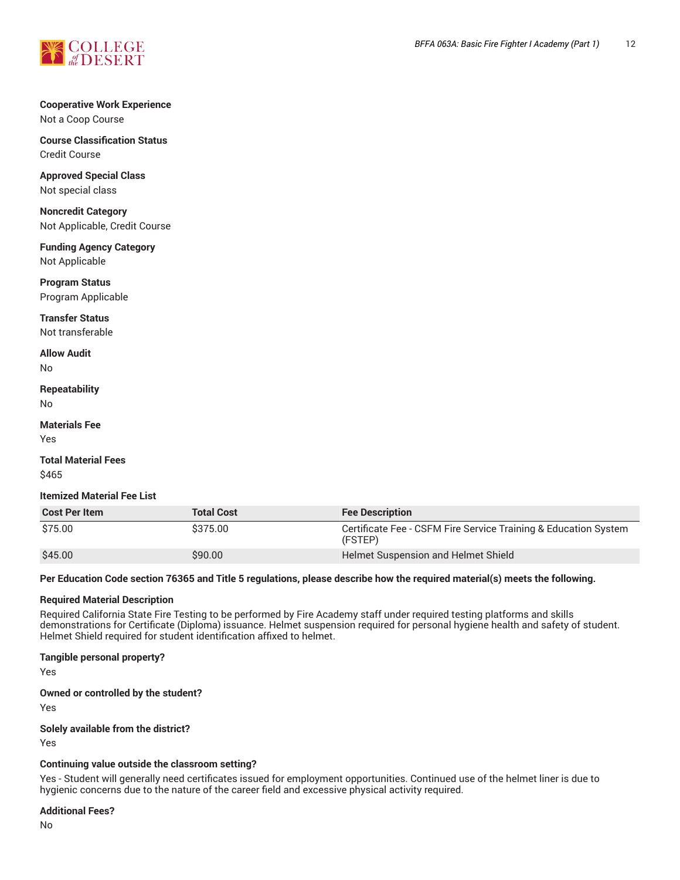

## **Cooperative Work Experience**

Not a Coop Course

**Course Classification Status** Credit Course

**Approved Special Class** Not special class

**Noncredit Category** Not Applicable, Credit Course

**Funding Agency Category** Not Applicable

**Program Status** Program Applicable

**Transfer Status** Not transferable

**Allow Audit**

No

**Repeatability** No

**Materials Fee**

Yes

**Total Material Fees** \$465

**Itemized Material Fee List**

| <b>Cost Per Item</b> | <b>Total Cost</b> | <b>Fee Description</b>                                                     |
|----------------------|-------------------|----------------------------------------------------------------------------|
| \$75.00              | \$375.00          | Certificate Fee - CSFM Fire Service Training & Education System<br>(FSTEP) |
| \$45.00              | \$90.00           | Helmet Suspension and Helmet Shield                                        |

Per Education Code section 76365 and Title 5 regulations, please describe how the required material(s) meets the following.

#### **Required Material Description**

Required California State Fire Testing to be performed by Fire Academy staff under required testing platforms and skills demonstrations for Certificate (Diploma) issuance. Helmet suspension required for personal hygiene health and safety of student. Helmet Shield required for student identification affixed to helmet.

#### **Tangible personal property?**

Yes

#### **Owned or controlled by the student?**

Yes

#### **Solely available from the district?**

Yes

#### **Continuing value outside the classroom setting?**

Yes - Student will generally need certificates issued for employment opportunities. Continued use of the helmet liner is due to hygienic concerns due to the nature of the career field and excessive physical activity required.

#### **Additional Fees?**

No